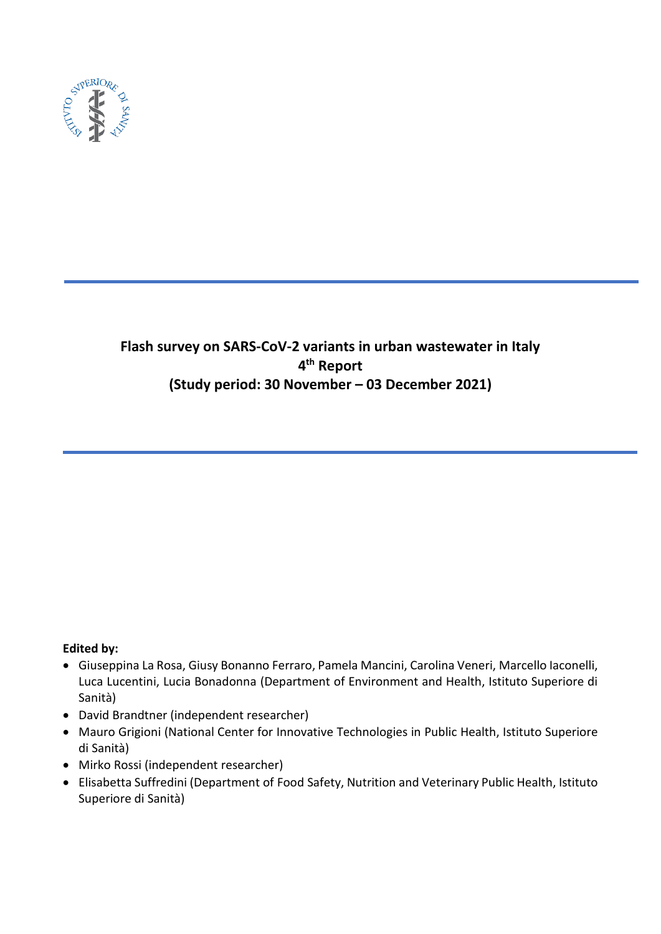

# **Flash survey on SARS-CoV-2 variants in urban wastewater in Italy 4 th Report (Study period: 30 November – 03 December 2021)**

# **Edited by:**

- Giuseppina La Rosa, Giusy Bonanno Ferraro, Pamela Mancini, Carolina Veneri, Marcello Iaconelli, Luca Lucentini, Lucia Bonadonna (Department of Environment and Health, Istituto Superiore di Sanità)
- David Brandtner (independent researcher)
- Mauro Grigioni (National Center for Innovative Technologies in Public Health, Istituto Superiore di Sanità)
- Mirko Rossi (independent researcher)
- Elisabetta Suffredini (Department of Food Safety, Nutrition and Veterinary Public Health, Istituto Superiore di Sanità)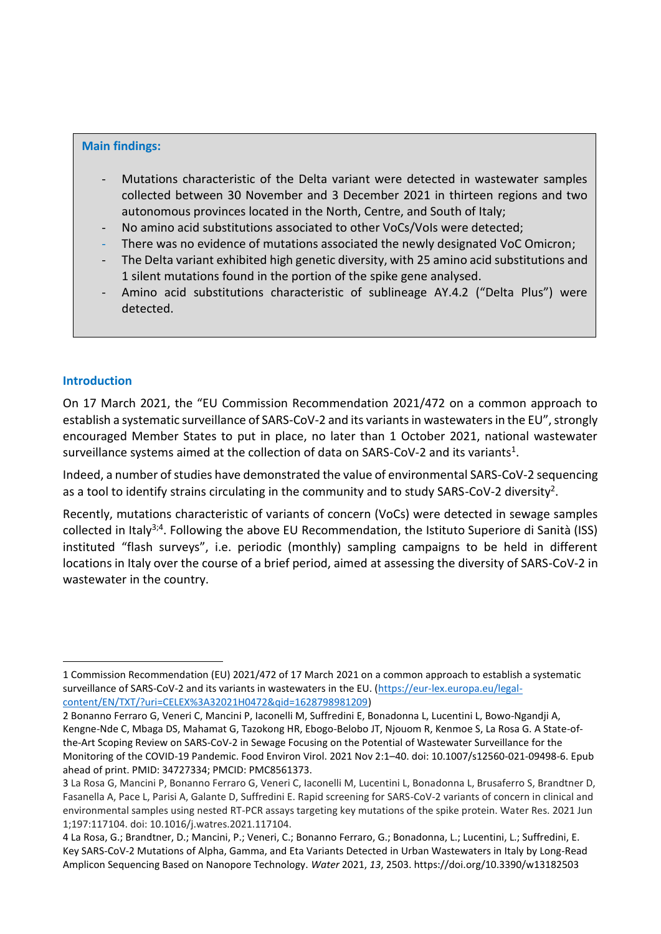#### **Main findings:**

- Mutations characteristic of the Delta variant were detected in wastewater samples collected between 30 November and 3 December 2021 in thirteen regions and two autonomous provinces located in the North, Centre, and South of Italy;
- No amino acid substitutions associated to other VoCs/VoIs were detected;
- There was no evidence of mutations associated the newly designated VoC Omicron;
- The Delta variant exhibited high genetic diversity, with 25 amino acid substitutions and 1 silent mutations found in the portion of the spike gene analysed.
- Amino acid substitutions characteristic of sublineage AY.4.2 ("Delta Plus") were detected.

#### **Introduction**

-

On 17 March 2021, the "EU Commission Recommendation 2021/472 on a common approach to establish a systematic surveillance of SARS-CoV-2 and its variants in wastewaters in the EU", strongly encouraged Member States to put in place, no later than 1 October 2021, national wastewater surveillance systems aimed at the collection of data on SARS-CoV-2 and its variants<sup>1</sup>.

Indeed, a number of studies have demonstrated the value of environmental SARS-CoV-2 sequencing as a tool to identify strains circulating in the community and to study SARS-CoV-2 diversity<sup>2</sup>.

Recently, mutations characteristic of variants of concern (VoCs) were detected in sewage samples collected in Italy<sup>3;4</sup>. Following the above EU Recommendation, the Istituto Superiore di Sanità (ISS) instituted "flash surveys", i.e. periodic (monthly) sampling campaigns to be held in different locations in Italy over the course of a brief period, aimed at assessing the diversity of SARS-CoV-2 in wastewater in the country.

<sup>1</sup> Commission Recommendation (EU) 2021/472 of 17 March 2021 on a common approach to establish a systematic surveillance of SARS-CoV-2 and its variants in wastewaters in the EU. [\(https://eur-lex.europa.eu/legal](https://eur-lex.europa.eu/legal-content/EN/TXT/?uri=CELEX%3A32021H0472&qid=1628798981209)[content/EN/TXT/?uri=CELEX%3A32021H0472&qid=1628798981209\)](https://eur-lex.europa.eu/legal-content/EN/TXT/?uri=CELEX%3A32021H0472&qid=1628798981209)

<sup>2</sup> Bonanno Ferraro G, Veneri C, Mancini P, Iaconelli M, Suffredini E, Bonadonna L, Lucentini L, Bowo-Ngandji A, Kengne-Nde C, Mbaga DS, Mahamat G, Tazokong HR, Ebogo-Belobo JT, Njouom R, Kenmoe S, La Rosa G. A State-ofthe-Art Scoping Review on SARS-CoV-2 in Sewage Focusing on the Potential of Wastewater Surveillance for the Monitoring of the COVID-19 Pandemic. Food Environ Virol. 2021 Nov 2:1–40. doi: 10.1007/s12560-021-09498-6. Epub ahead of print. PMID: 34727334; PMCID: PMC8561373.

<sup>3</sup> La Rosa G, Mancini P, Bonanno Ferraro G, Veneri C, Iaconelli M, Lucentini L, Bonadonna L, Brusaferro S, Brandtner D, Fasanella A, Pace L, Parisi A, Galante D, Suffredini E. Rapid screening for SARS-CoV-2 variants of concern in clinical and environmental samples using nested RT-PCR assays targeting key mutations of the spike protein. Water Res. 2021 Jun 1;197:117104. doi: 10.1016/j.watres.2021.117104.

<sup>4</sup> La Rosa, G.; Brandtner, D.; Mancini, P.; Veneri, C.; Bonanno Ferraro, G.; Bonadonna, L.; Lucentini, L.; Suffredini, E. Key SARS-CoV-2 Mutations of Alpha, Gamma, and Eta Variants Detected in Urban Wastewaters in Italy by Long-Read Amplicon Sequencing Based on Nanopore Technology. *Water* 2021, *13*, 2503. https://doi.org/10.3390/w13182503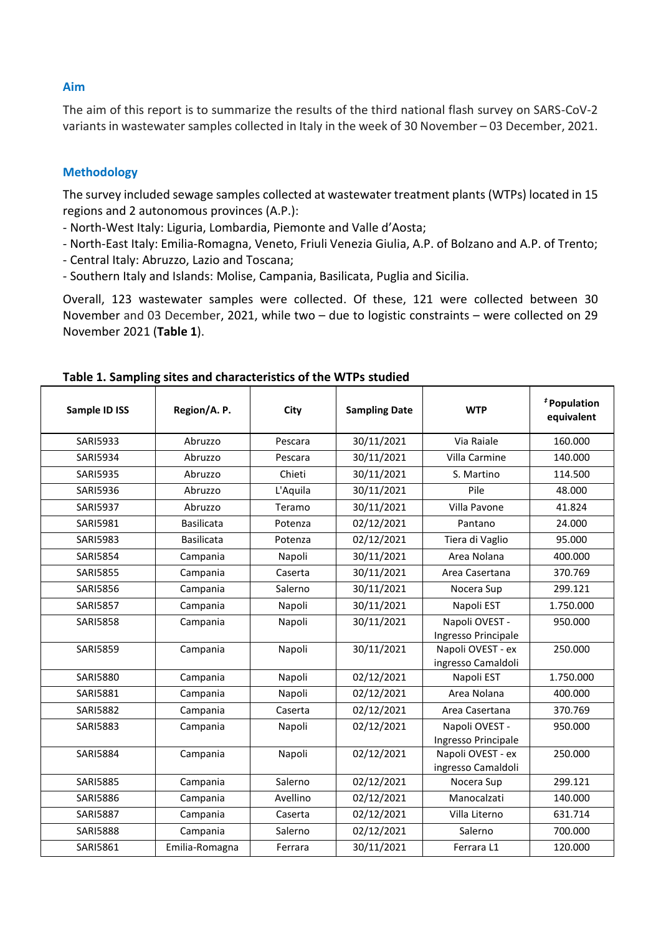## **Aim**

The aim of this report is to summarize the results of the third national flash survey on SARS-CoV-2 variants in wastewater samples collected in Italy in the week of 30 November – 03 December, 2021.

# **Methodology**

The survey included sewage samples collected at wastewater treatment plants (WTPs) located in 15 regions and 2 autonomous provinces (A.P.):

- North-West Italy: Liguria, Lombardia, Piemonte and Valle d'Aosta;
- North-East Italy: Emilia-Romagna, Veneto, Friuli Venezia Giulia, A.P. of Bolzano and A.P. of Trento;
- Central Italy: Abruzzo, Lazio and Toscana;
- Southern Italy and Islands: Molise, Campania, Basilicata, Puglia and Sicilia.

Overall, 123 wastewater samples were collected. Of these, 121 were collected between 30 November and 03 December, 2021, while two – due to logistic constraints – were collected on 29 November 2021 (**Table 1**).

| Sample ID ISS   | Region/A. P.      | City     | <b>Sampling Date</b> | <b>WTP</b>          | <sup>#</sup> Population<br>equivalent |
|-----------------|-------------------|----------|----------------------|---------------------|---------------------------------------|
| <b>SARI5933</b> | Abruzzo           | Pescara  | 30/11/2021           | Via Raiale          | 160.000                               |
| <b>SARI5934</b> | Abruzzo           | Pescara  | 30/11/2021           | Villa Carmine       | 140.000                               |
| <b>SARI5935</b> | Abruzzo           | Chieti   | 30/11/2021           | S. Martino          | 114.500                               |
| <b>SARI5936</b> | Abruzzo           | L'Aquila | 30/11/2021           | Pile                | 48.000                                |
| <b>SARI5937</b> | Abruzzo           | Teramo   | 30/11/2021           | Villa Pavone        | 41.824                                |
| <b>SARI5981</b> | <b>Basilicata</b> | Potenza  | 02/12/2021           | Pantano             | 24.000                                |
| <b>SARI5983</b> | <b>Basilicata</b> | Potenza  | 02/12/2021           | Tiera di Vaglio     | 95.000                                |
| <b>SARI5854</b> | Campania          | Napoli   | 30/11/2021           | Area Nolana         | 400.000                               |
| <b>SARI5855</b> | Campania          | Caserta  | 30/11/2021           | Area Casertana      | 370.769                               |
| <b>SARI5856</b> | Campania          | Salerno  | 30/11/2021           | Nocera Sup          | 299.121                               |
| <b>SARI5857</b> | Campania          | Napoli   | 30/11/2021           | Napoli EST          | 1.750.000                             |
| <b>SARI5858</b> | Campania          | Napoli   | 30/11/2021           | Napoli OVEST -      | 950.000                               |
|                 |                   |          |                      | Ingresso Principale |                                       |
| <b>SARI5859</b> | Campania          | Napoli   | 30/11/2021           | Napoli OVEST - ex   | 250.000                               |
|                 |                   |          |                      | ingresso Camaldoli  |                                       |
| <b>SARI5880</b> | Campania          | Napoli   | 02/12/2021           | Napoli EST          | 1.750.000                             |
| SARI5881        | Campania          | Napoli   | 02/12/2021           | Area Nolana         | 400.000                               |
| <b>SARI5882</b> | Campania          | Caserta  | 02/12/2021           | Area Casertana      | 370.769                               |
| <b>SARI5883</b> | Campania          | Napoli   | 02/12/2021           | Napoli OVEST -      | 950.000                               |
|                 |                   |          |                      | Ingresso Principale |                                       |
| <b>SARI5884</b> | Campania          | Napoli   | 02/12/2021           | Napoli OVEST - ex   | 250.000                               |
|                 |                   |          |                      | ingresso Camaldoli  |                                       |
| <b>SARI5885</b> | Campania          | Salerno  | 02/12/2021           | Nocera Sup          | 299.121                               |
| <b>SARI5886</b> | Campania          | Avellino | 02/12/2021           | Manocalzati         | 140.000                               |
| <b>SARI5887</b> | Campania          | Caserta  | 02/12/2021           | Villa Literno       | 631.714                               |
| <b>SARI5888</b> | Campania          | Salerno  | 02/12/2021           | Salerno             | 700.000                               |
| <b>SARI5861</b> | Emilia-Romagna    | Ferrara  | 30/11/2021           | Ferrara L1          | 120.000                               |

#### **Table 1. Sampling sites and characteristics of the WTPs studied**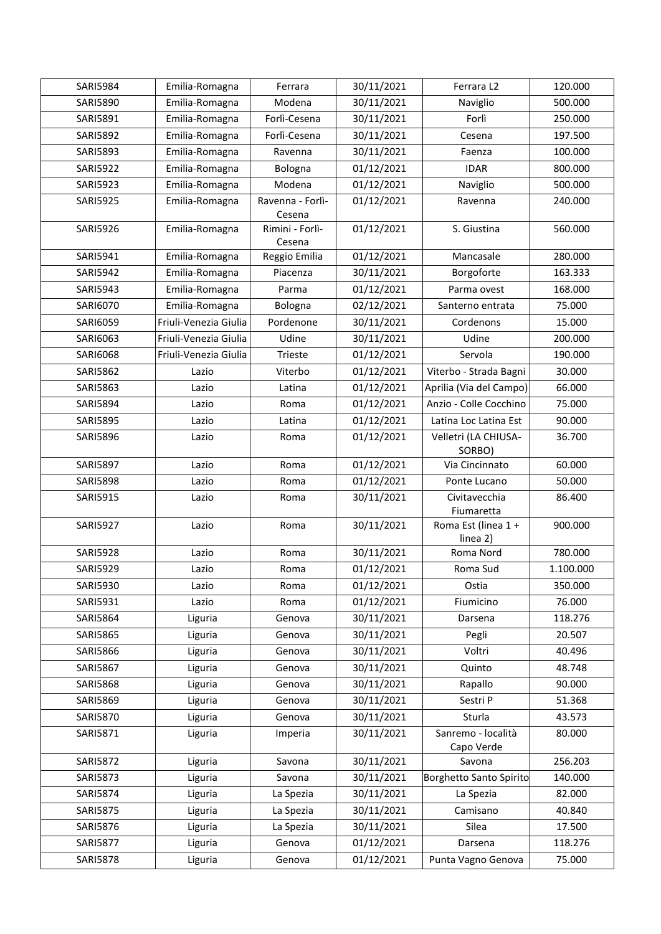| <b>SARI5984</b> | Emilia-Romagna<br>Ferrara |                            | 30/11/2021 | Ferrara L2                      | 120.000   |
|-----------------|---------------------------|----------------------------|------------|---------------------------------|-----------|
| SARI5890        | Emilia-Romagna            | Modena                     | 30/11/2021 | Naviglio                        | 500.000   |
| SARI5891        | Emilia-Romagna            | Forlì-Cesena               | 30/11/2021 | Forlì                           | 250.000   |
| SARI5892        | Emilia-Romagna            | Forlì-Cesena               | 30/11/2021 | Cesena                          | 197.500   |
| SARI5893        | Emilia-Romagna            | Ravenna                    | 30/11/2021 | Faenza                          | 100.000   |
| <b>SARI5922</b> | Emilia-Romagna            | Bologna                    | 01/12/2021 | <b>IDAR</b>                     | 800.000   |
| <b>SARI5923</b> | Emilia-Romagna            | Modena                     | 01/12/2021 | Naviglio                        | 500.000   |
| <b>SARI5925</b> | Emilia-Romagna            | Ravenna - Forlì-<br>Cesena | 01/12/2021 | Ravenna                         | 240.000   |
| <b>SARI5926</b> | Emilia-Romagna            | Rimini - Forlì-<br>Cesena  | 01/12/2021 | S. Giustina                     | 560.000   |
| SARI5941        | Emilia-Romagna            | Reggio Emilia              | 01/12/2021 | Mancasale                       | 280.000   |
| <b>SARI5942</b> | Emilia-Romagna            | Piacenza                   | 30/11/2021 | Borgoforte                      | 163.333   |
| SARI5943        | Emilia-Romagna            | Parma                      | 01/12/2021 | Parma ovest                     | 168.000   |
| SARI6070        | Emilia-Romagna            | Bologna                    | 02/12/2021 | Santerno entrata                | 75.000    |
| SARI6059        | Friuli-Venezia Giulia     | Pordenone                  | 30/11/2021 | Cordenons                       | 15.000    |
| SARI6063        | Friuli-Venezia Giulia     | Udine                      | 30/11/2021 | Udine                           | 200.000   |
| SARI6068        | Friuli-Venezia Giulia     | Trieste                    | 01/12/2021 | Servola                         | 190.000   |
| SARI5862        | Lazio                     | Viterbo                    | 01/12/2021 | Viterbo - Strada Bagni          | 30.000    |
| SARI5863        | Lazio                     | Latina                     | 01/12/2021 | Aprilia (Via del Campo)         | 66.000    |
| SARI5894        | Lazio                     | Roma                       | 01/12/2021 | Anzio - Colle Cocchino          | 75.000    |
| <b>SARI5895</b> | Lazio                     | Latina                     | 01/12/2021 | Latina Loc Latina Est           | 90.000    |
| <b>SARI5896</b> | Lazio                     | Roma                       | 01/12/2021 | Velletri (LA CHIUSA-<br>SORBO)  | 36.700    |
| <b>SARI5897</b> | Lazio                     | Roma                       | 01/12/2021 | Via Cincinnato                  | 60.000    |
| <b>SARI5898</b> | Lazio                     | Roma                       | 01/12/2021 | Ponte Lucano                    | 50.000    |
| SARI5915        | Lazio                     | Roma                       | 30/11/2021 | Civitavecchia<br>Fiumaretta     | 86.400    |
| <b>SARI5927</b> | Lazio                     | Roma                       | 30/11/2021 | Roma Est (linea 1 +<br>linea 2) | 900.000   |
| <b>SARI5928</b> | Lazio                     | Roma                       | 30/11/2021 | Roma Nord                       | 780.000   |
| SARI5929        | Lazio                     | Roma                       | 01/12/2021 | Roma Sud                        | 1.100.000 |
| SARI5930        | Lazio                     | Roma                       | 01/12/2021 | Ostia                           | 350.000   |
| SARI5931        | Lazio                     | Roma                       | 01/12/2021 | Fiumicino                       | 76.000    |
| SARI5864        | Liguria                   | Genova                     | 30/11/2021 | Darsena                         | 118.276   |
| <b>SARI5865</b> | Liguria                   | Genova                     | 30/11/2021 | Pegli                           | 20.507    |
| SARI5866        | Liguria                   | Genova                     | 30/11/2021 | Voltri                          | 40.496    |
| SARI5867        | Liguria                   | Genova                     | 30/11/2021 | Quinto                          | 48.748    |
| <b>SARI5868</b> | Liguria                   | Genova                     | 30/11/2021 | Rapallo                         | 90.000    |
| <b>SARI5869</b> | Liguria                   | Genova                     | 30/11/2021 | Sestri P                        | 51.368    |
| <b>SARI5870</b> | Liguria                   | Genova                     | 30/11/2021 | Sturla                          | 43.573    |
| SARI5871        | Liguria                   | Imperia                    | 30/11/2021 | Sanremo - località              | 80.000    |
| <b>SARI5872</b> | Liguria                   | Savona                     | 30/11/2021 | Capo Verde<br>Savona            | 256.203   |
| <b>SARI5873</b> | Liguria                   | Savona                     | 30/11/2021 | Borghetto Santo Spirito         | 140.000   |
| SARI5874        | Liguria                   | La Spezia                  | 30/11/2021 | La Spezia                       | 82.000    |
| <b>SARI5875</b> | Liguria                   | La Spezia                  | 30/11/2021 | Camisano                        | 40.840    |
| SARI5876        | Liguria                   | La Spezia                  | 30/11/2021 | Silea                           | 17.500    |
| <b>SARI5877</b> | Liguria                   | Genova                     | 01/12/2021 | Darsena                         | 118.276   |
| <b>SARI5878</b> | Liguria                   | Genova                     | 01/12/2021 | Punta Vagno Genova              | 75.000    |
|                 |                           |                            |            |                                 |           |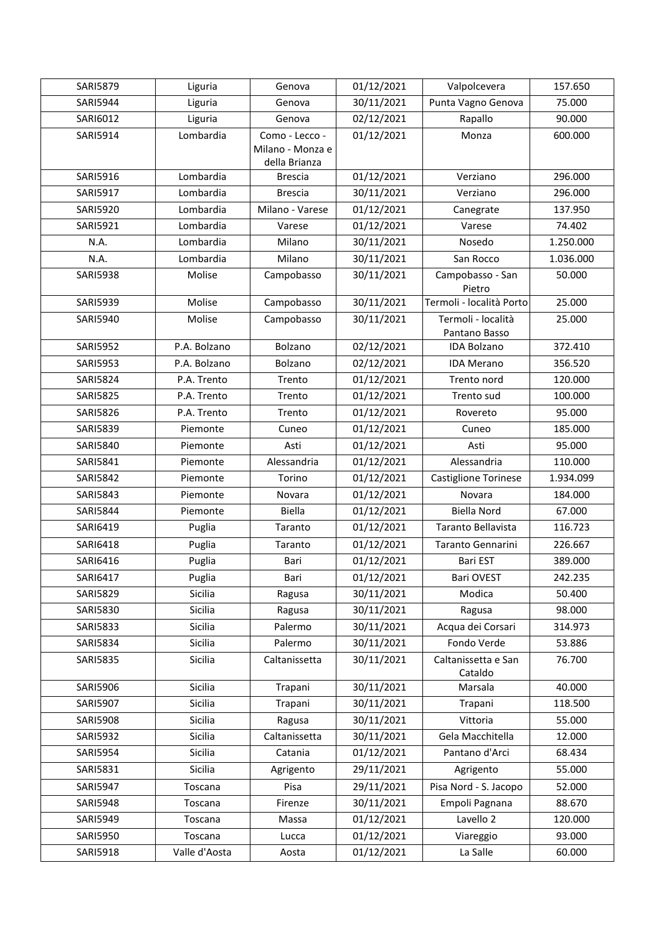| <b>SARI5879</b> | Liguria       | Genova                            | 01/12/2021 | Valpolcevera                        | 157.650   |
|-----------------|---------------|-----------------------------------|------------|-------------------------------------|-----------|
| SARI5944        | Liguria       | Genova                            | 30/11/2021 | Punta Vagno Genova                  | 75.000    |
| SARI6012        | Liguria       | Genova                            | 02/12/2021 | Rapallo                             | 90.000    |
| SARI5914        | Lombardia     | Como - Lecco -                    | 01/12/2021 | Monza                               | 600.000   |
|                 |               | Milano - Monza e<br>della Brianza |            |                                     |           |
| SARI5916        | Lombardia     | <b>Brescia</b>                    | 01/12/2021 | Verziano                            | 296.000   |
| SARI5917        | Lombardia     | <b>Brescia</b>                    | 30/11/2021 | Verziano                            | 296.000   |
| <b>SARI5920</b> | Lombardia     | Milano - Varese                   | 01/12/2021 | Canegrate                           | 137.950   |
| SARI5921        | Lombardia     | Varese                            | 01/12/2021 | Varese                              | 74.402    |
| N.A.            | Lombardia     | Milano                            | 30/11/2021 | Nosedo                              | 1.250.000 |
| N.A.            | Lombardia     | Milano                            | 30/11/2021 | San Rocco                           | 1.036.000 |
| <b>SARI5938</b> | Molise        | Campobasso                        | 30/11/2021 | Campobasso - San<br>Pietro          | 50.000    |
| <b>SARI5939</b> | Molise        | Campobasso                        | 30/11/2021 | Termoli - località Porto            | 25.000    |
| SARI5940        | Molise        | Campobasso                        | 30/11/2021 | Termoli - località<br>Pantano Basso | 25.000    |
| <b>SARI5952</b> | P.A. Bolzano  | Bolzano                           | 02/12/2021 | <b>IDA Bolzano</b>                  | 372.410   |
| <b>SARI5953</b> | P.A. Bolzano  | Bolzano                           | 02/12/2021 | <b>IDA Merano</b>                   | 356.520   |
| <b>SARI5824</b> | P.A. Trento   | Trento                            | 01/12/2021 | Trento nord                         | 120.000   |
| <b>SARI5825</b> | P.A. Trento   | Trento                            | 01/12/2021 | Trento sud                          | 100.000   |
| <b>SARI5826</b> | P.A. Trento   | Trento                            | 01/12/2021 | Rovereto                            | 95.000    |
| <b>SARI5839</b> | Piemonte      | Cuneo                             | 01/12/2021 | Cuneo                               | 185.000   |
| SARI5840        | Piemonte      | Asti                              | 01/12/2021 | Asti                                | 95.000    |
| SARI5841        | Piemonte      | Alessandria                       | 01/12/2021 | Alessandria                         | 110.000   |
| SARI5842        | Piemonte      | Torino                            | 01/12/2021 | <b>Castiglione Torinese</b>         | 1.934.099 |
| SARI5843        | Piemonte      | Novara                            | 01/12/2021 | Novara                              | 184.000   |
| <b>SARI5844</b> | Piemonte      | <b>Biella</b>                     | 01/12/2021 | <b>Biella Nord</b>                  | 67.000    |
| SARI6419        | Puglia        | Taranto                           | 01/12/2021 | Taranto Bellavista                  | 116.723   |
| SARI6418        | Puglia        | Taranto                           | 01/12/2021 | Taranto Gennarini                   | 226.667   |
| SARI6416        | Puglia        | Bari                              | 01/12/2021 | <b>Bari EST</b>                     | 389.000   |
| SARI6417        | Puglia        | Bari                              | 01/12/2021 | Bari OVEST                          | 242.235   |
| <b>SARI5829</b> | Sicilia       | Ragusa                            | 30/11/2021 | Modica                              | 50.400    |
| SARI5830        | Sicilia       | Ragusa                            | 30/11/2021 | Ragusa                              | 98.000    |
| <b>SARI5833</b> | Sicilia       | Palermo                           | 30/11/2021 | Acqua dei Corsari                   | 314.973   |
| <b>SARI5834</b> | Sicilia       | Palermo                           | 30/11/2021 | Fondo Verde                         | 53.886    |
| <b>SARI5835</b> | Sicilia       | Caltanissetta                     | 30/11/2021 | Caltanissetta e San<br>Cataldo      | 76.700    |
| SARI5906        | Sicilia       | Trapani                           | 30/11/2021 | Marsala                             | 40.000    |
| SARI5907        | Sicilia       | Trapani                           | 30/11/2021 | Trapani                             | 118.500   |
| <b>SARI5908</b> | Sicilia       | Ragusa                            | 30/11/2021 | Vittoria                            | 55.000    |
| <b>SARI5932</b> | Sicilia       | Caltanissetta                     | 30/11/2021 | Gela Macchitella                    | 12.000    |
| <b>SARI5954</b> | Sicilia       | Catania                           | 01/12/2021 | Pantano d'Arci                      | 68.434    |
| SARI5831        | Sicilia       | Agrigento                         | 29/11/2021 | Agrigento                           | 55.000    |
| SARI5947        | Toscana       | Pisa                              | 29/11/2021 | Pisa Nord - S. Jacopo               | 52.000    |
| <b>SARI5948</b> | Toscana       | Firenze                           | 30/11/2021 | Empoli Pagnana                      | 88.670    |
| <b>SARI5949</b> | Toscana       | Massa                             | 01/12/2021 | Lavello 2                           | 120.000   |
| <b>SARI5950</b> | Toscana       | Lucca                             | 01/12/2021 | Viareggio                           | 93.000    |
| <b>SARI5918</b> | Valle d'Aosta | Aosta                             | 01/12/2021 | La Salle                            | 60.000    |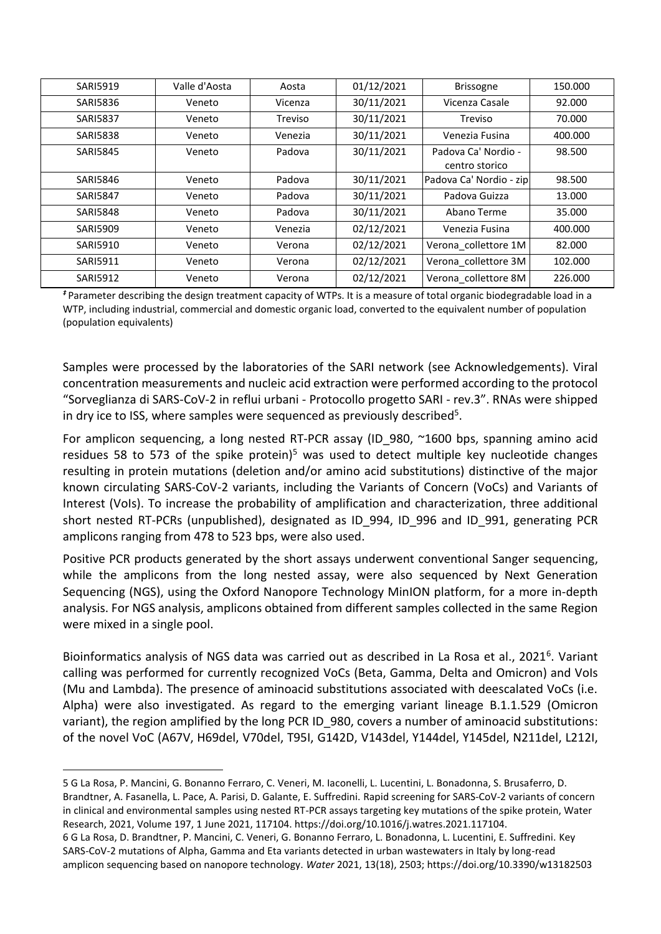| <b>SARI5919</b> | Valle d'Aosta | Aosta   | 01/12/2021 | Brissogne                             | 150.000 |
|-----------------|---------------|---------|------------|---------------------------------------|---------|
| <b>SARI5836</b> | Veneto        | Vicenza | 30/11/2021 | Vicenza Casale                        | 92.000  |
| <b>SARI5837</b> | Veneto        | Treviso | 30/11/2021 | Treviso                               | 70.000  |
| <b>SARI5838</b> | Veneto        | Venezia | 30/11/2021 | Venezia Fusina                        | 400.000 |
| <b>SARI5845</b> | Veneto        | Padova  | 30/11/2021 | Padova Ca' Nordio -<br>centro storico | 98.500  |
| <b>SARI5846</b> | Veneto        | Padova  | 30/11/2021 | Padova Ca' Nordio - zip               | 98.500  |
| <b>SARI5847</b> | Veneto        | Padova  | 30/11/2021 | Padova Guizza                         | 13.000  |
| <b>SARI5848</b> | Veneto        | Padova  | 30/11/2021 | Abano Terme                           | 35.000  |
| <b>SARI5909</b> | Veneto        | Venezia | 02/12/2021 | Venezia Fusina                        | 400.000 |
| <b>SARI5910</b> | Veneto        | Verona  | 02/12/2021 | Verona collettore 1M                  | 82.000  |
| <b>SARI5911</b> | Veneto        | Verona  | 02/12/2021 | Verona_collettore 3M                  | 102.000 |
| <b>SARI5912</b> | Veneto        | Verona  | 02/12/2021 | Verona collettore 8M                  | 226.000 |

*‡* Parameter describing the design treatment capacity of WTPs. It is a measure of total organic biodegradable load in a WTP, including industrial, commercial and domestic organic load, converted to the equivalent number of population (population equivalents)

Samples were processed by the laboratories of the SARI network (see Acknowledgements). Viral concentration measurements and nucleic acid extraction were performed according to the protocol "Sorveglianza di SARS-CoV-2 in reflui urbani - Protocollo progetto SARI - rev.3". RNAs were shipped in dry ice to ISS, where samples were sequenced as previously described<sup>5</sup>.

For amplicon sequencing, a long nested RT-PCR assay (ID\_980, ~1600 bps, spanning amino acid residues 58 to 573 of the spike protein)<sup>5</sup> was used to detect multiple key nucleotide changes resulting in protein mutations (deletion and/or amino acid substitutions) distinctive of the major known circulating SARS-CoV-2 variants, including the Variants of Concern (VoCs) and Variants of Interest (VoIs). To increase the probability of amplification and characterization, three additional short nested RT-PCRs (unpublished), designated as ID\_994, ID\_996 and ID\_991, generating PCR amplicons ranging from 478 to 523 bps, were also used.

Positive PCR products generated by the short assays underwent conventional Sanger sequencing, while the amplicons from the long nested assay, were also sequenced by Next Generation Sequencing (NGS), using the Oxford Nanopore Technology MinION platform, for a more in-depth analysis. For NGS analysis, amplicons obtained from different samples collected in the same Region were mixed in a single pool.

Bioinformatics analysis of NGS data was carried out as described in La Rosa et al., 2021<sup>6</sup>. Variant calling was performed for currently recognized VoCs (Beta, Gamma, Delta and Omicron) and VoIs (Mu and Lambda). The presence of aminoacid substitutions associated with deescalated VoCs (i.e. Alpha) were also investigated. As regard to the emerging variant lineage B.1.1.529 (Omicron variant), the region amplified by the long PCR ID 980, covers a number of aminoacid substitutions: of the novel VoC (A67V, H69del, V70del, T95I, G142D, V143del, Y144del, Y145del, N211del, L212I,

5 G La Rosa, P. Mancini, G. Bonanno Ferraro, C. Veneri, M. Iaconelli, L. Lucentini, L. Bonadonna, S. Brusaferro, D. Brandtner, A. Fasanella, L. Pace, A. Parisi, D. Galante, E. Suffredini. Rapid screening for SARS-CoV-2 variants of concern in clinical and environmental samples using nested RT-PCR assays targeting key mutations of the spike protein, Water Research, 2021, Volume 197, 1 June 2021, 117104. https://doi.org/10.1016/j.watres.2021.117104. 6 G La Rosa, D. Brandtner, P. Mancini, C. Veneri, G. Bonanno Ferraro, L. Bonadonna, L. Lucentini, E. Suffredini. Key SARS-CoV-2 mutations of Alpha, Gamma and Eta variants detected in urban wastewaters in Italy by long-read amplicon sequencing based on nanopore technology. *Water* 2021, 13(18), 2503; <https://doi.org/10.3390/w13182503>

-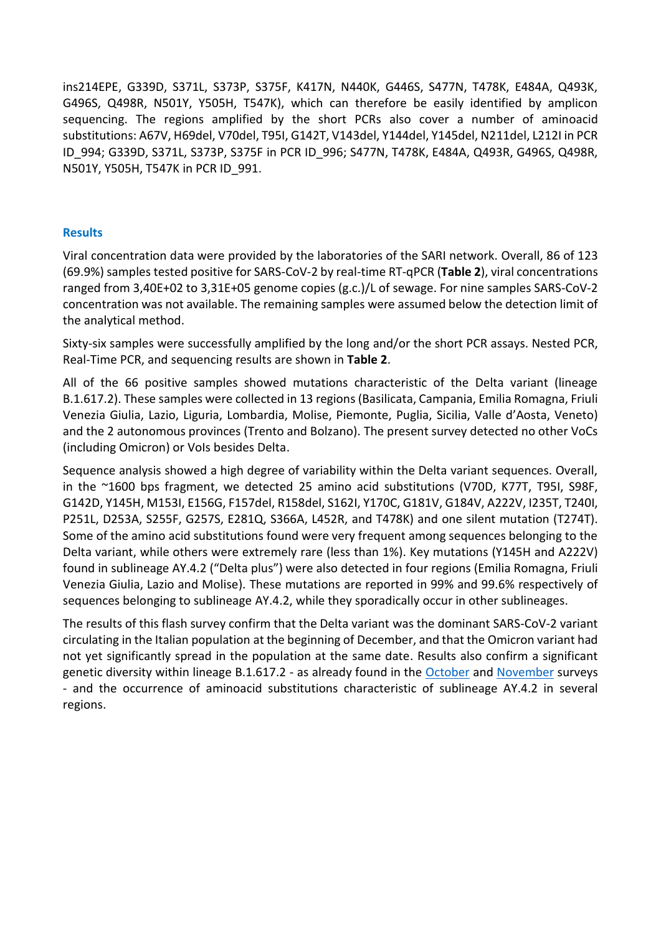ins214EPE, G339D, S371L, S373P, S375F, K417N, N440K, G446S, S477N, T478K, E484A, Q493K, G496S, Q498R, N501Y, Y505H, T547K), which can therefore be easily identified by amplicon sequencing. The regions amplified by the short PCRs also cover a number of aminoacid substitutions: A67V, H69del, V70del, T95I, G142T, V143del, Y144del, Y145del, N211del, L212I in PCR ID\_994; G339D, S371L, S373P, S375F in PCR ID\_996; S477N, T478K, E484A, Q493R, G496S, Q498R, N501Y, Y505H, T547K in PCR ID\_991.

# **Results**

Viral concentration data were provided by the laboratories of the SARI network. Overall, 86 of 123 (69.9%) samples tested positive for SARS-CoV-2 by real-time RT-qPCR (**Table 2**), viral concentrations ranged from 3,40E+02 to 3,31E+05 genome copies (g.c.)/L of sewage. For nine samples SARS-CoV-2 concentration was not available. The remaining samples were assumed below the detection limit of the analytical method.

Sixty-six samples were successfully amplified by the long and/or the short PCR assays. Nested PCR, Real-Time PCR, and sequencing results are shown in **Table 2**.

All of the 66 positive samples showed mutations characteristic of the Delta variant (lineage B.1.617.2). These samples were collected in 13 regions (Basilicata, Campania, Emilia Romagna, Friuli Venezia Giulia, Lazio, Liguria, Lombardia, Molise, Piemonte, Puglia, Sicilia, Valle d'Aosta, Veneto) and the 2 autonomous provinces (Trento and Bolzano). The present survey detected no other VoCs (including Omicron) or VoIs besides Delta.

Sequence analysis showed a high degree of variability within the Delta variant sequences. Overall, in the ~1600 bps fragment, we detected 25 amino acid substitutions (V70D, K77T, T95I, S98F, G142D, Y145H, M153I, E156G, F157del, R158del, S162I, Y170C, G181V, G184V, A222V, I235T, T240I, P251L, D253A, S255F, G257S, E281Q, S366A, L452R, and T478K) and one silent mutation (T274T). Some of the amino acid substitutions found were very frequent among sequences belonging to the Delta variant, while others were extremely rare (less than 1%). Key mutations (Y145H and A222V) found in sublineage AY.4.2 ("Delta plus") were also detected in four regions (Emilia Romagna, Friuli Venezia Giulia, Lazio and Molise). These mutations are reported in 99% and 99.6% respectively of sequences belonging to sublineage AY.4.2, while they sporadically occur in other sublineages.

The results of this flash survey confirm that the Delta variant was the dominant SARS-CoV-2 variant circulating in the Italian population at the beginning of December, and that the Omicron variant had not yet significantly spread in the population at the same date. Results also confirm a significant genetic diversity within lineage B.1.617.2 - as already found in the [October](https://www.iss.it/documents/20126/0/Flash+survey+SARS-CoV-2+wastewater+Italy+_+October2021_final.pdf/a2c18cbc-ce78-8579-688f-08b999bcb44c?t=1636545410730) and [November](https://www.iss.it/documents/20126/0/Flash+survey_acque_reflueNovember2021_07_12_21.pdf/32d384d1-1ddc-ebae-3d11-4cfdb26a0bb4?t=1638875563126) surveys - and the occurrence of aminoacid substitutions characteristic of sublineage AY.4.2 in several regions.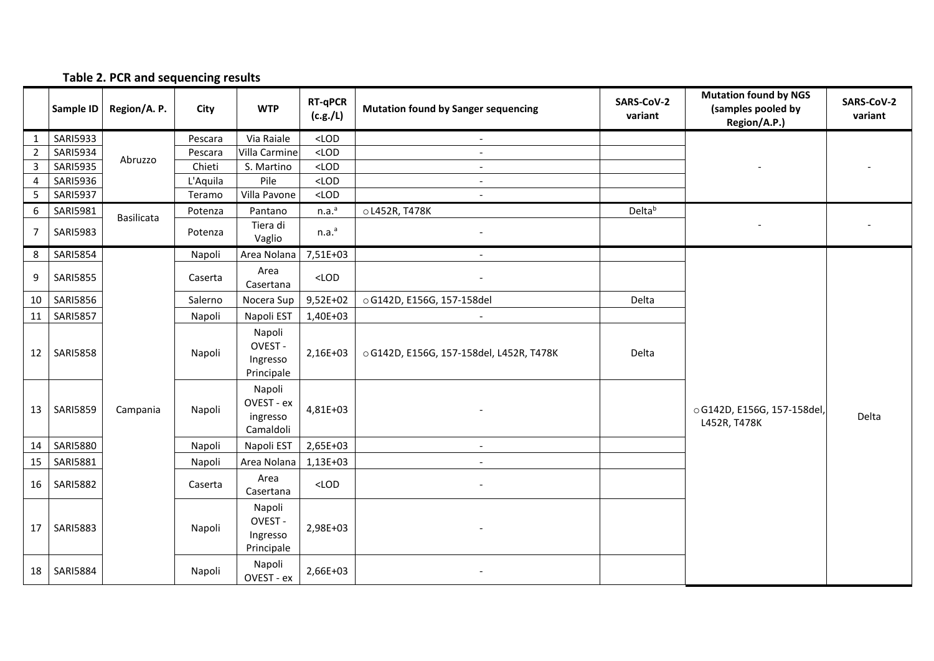#### **Sample ID Region/A. P. City WTP RT-qPCR (c.g./L) (c.g./L) Mutation found by Sanger sequencing SARS-CoV-2 variant Mutation found by NGS (samples pooled by Region/A.P.) SARS-CoV-2 variant** 1 SARI5933 Abruzzo Pescara Via Raiale <LOD - - - 2 SARI5934 Abruzzo Pescara Villa Carmine <LOD -<br>3 SARI5935 Abruzzo Chieti S. Martino <LOD -3 SARI5935 Chieti S. Martino <LOD - 4 SARI5936 L'Aquila Pile <LOD - 5 SARI5937 Teramo Villa Pavone <LOD -<sup>6</sup> SARI5981 Basilicata Potenza Pantano n.a. n.a.<sup>a</sup> | oL452R, T478K Delta<sup>b</sup> - -  $7 \left| \text{SARI}5983 \right|$  Potenza  $\left| \text{P}123 \right|$ Tiera di<br>Vaglio  $n.a.<sup>a</sup>$ - 8 SARI5854 13 | SARI5859 | Campania | Napoli Napoli Area Nolana 7.51E+03 oG142D, E156G, 157-158del,  $L452R, T478K$  L452R, T478K 9 SARI5855 Caserta Area Area (CASE) <LOD - Casertana - CASER - CASERTAN - CASERTAN - CASER  $10$  SARI5856 Salerno  $\overline{\phantom{0}}$  Salerno Nocera Sup 9,52E+02 og142D, E156G, 157-158del Delta 11 | SARI5857 | | Napoli | Napoli EST | 1,40E+03 -12 | SARI5858 | Napoli Napoli OVEST - Ingresso Principale 2,16E+03 | 0G142D, E156G, 157-158del, L452R, T478K Delta Napoli OVEST - ex ingresso Camaldoli  $4.81F + 03$ 14 | SARI5880 | | Napoli | Napoli EST | 2,65E+03 -15 SARI5881 Napoli Area Nolana 1,13E+03 - 16 SARI5882 Caserta Area Alternative Casertana (CLOD ) and the casertana of  $\sim$ 17 | SARI5883 | Napoli Napoli OVEST - Ingresso Principale  $2.98E + 03$ 18 SARI5884 Napoli Napoli Napoli OVEST - ex 2,66E+03 -

#### **Table 2. PCR and sequencing results**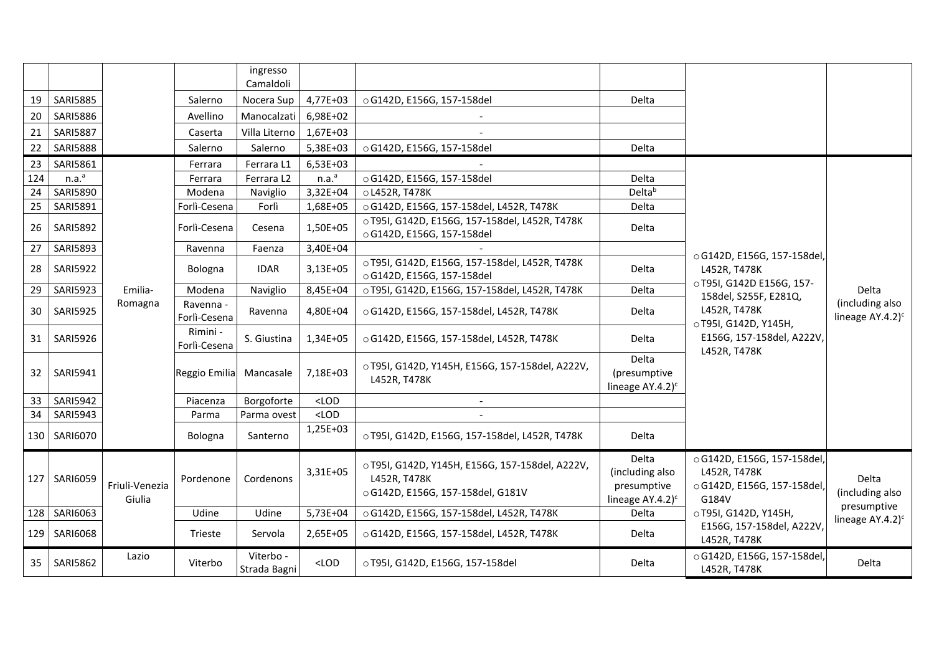|                 |                   |                                         |                           | ingresso<br>Camaldoli     |                   |                                                                                                      |                                                                              |                                                                                     |                                                           |  |
|-----------------|-------------------|-----------------------------------------|---------------------------|---------------------------|-------------------|------------------------------------------------------------------------------------------------------|------------------------------------------------------------------------------|-------------------------------------------------------------------------------------|-----------------------------------------------------------|--|
| 19              | <b>SARI5885</b>   |                                         | Salerno                   | Nocera Sup                | 4,77E+03          | ○ G142D, E156G, 157-158del                                                                           | Delta                                                                        |                                                                                     |                                                           |  |
| 20              | <b>SARI5886</b>   |                                         | Avellino                  | Manocalzati               | 6,98E+02          |                                                                                                      |                                                                              |                                                                                     |                                                           |  |
| 21              | <b>SARI5887</b>   |                                         | Caserta                   | Villa Literno             | 1,67E+03          |                                                                                                      |                                                                              |                                                                                     |                                                           |  |
| 22              | <b>SARI5888</b>   |                                         | Salerno                   | Salerno                   | 5,38E+03          | ○ G142D, E156G, 157-158del                                                                           | Delta                                                                        |                                                                                     |                                                           |  |
| 23              | SARI5861          |                                         | Ferrara                   | Ferrara L1                | 6,53E+03          |                                                                                                      |                                                                              |                                                                                     |                                                           |  |
| 124             | n.a. <sup>a</sup> |                                         | Ferrara                   | Ferrara L2                | n.a. <sup>a</sup> | o G142D, E156G, 157-158del                                                                           | Delta                                                                        |                                                                                     |                                                           |  |
| 24              | <b>SARI5890</b>   |                                         | Modena                    | Naviglio                  | 3,32E+04          | o L452R, T478K                                                                                       | Delta <sup>b</sup>                                                           |                                                                                     |                                                           |  |
| 25              | SARI5891          |                                         | Forlì-Cesena              | Forlì                     | 1,68E+05          | ○ G142D, E156G, 157-158del, L452R, T478K                                                             | Delta                                                                        |                                                                                     |                                                           |  |
| 26              | <b>SARI5892</b>   | Ravenna<br>Bologna<br>Emilia-<br>Modena | Forlì-Cesena              | Cesena                    | 1,50E+05          | o T95I, G142D, E156G, 157-158del, L452R, T478K<br>○ G142D, E156G, 157-158del                         | Delta                                                                        | ○ G142D, E156G, 157-158del,                                                         |                                                           |  |
| 27              | <b>SARI5893</b>   |                                         |                           | Faenza                    | 3,40E+04          |                                                                                                      |                                                                              |                                                                                     |                                                           |  |
| 28              | <b>SARI5922</b>   |                                         |                           |                           | <b>IDAR</b>       | 3,13E+05                                                                                             | o T95I, G142D, E156G, 157-158del, L452R, T478K<br>○ G142D, E156G, 157-158del | Delta                                                                               | L452R, T478K                                              |  |
| 29              | <b>SARI5923</b>   |                                         |                           | Naviglio                  | 8,45E+04          | o T95I, G142D, E156G, 157-158del, L452R, T478K                                                       | Delta                                                                        | ○T95I, G142D E156G, 157-<br>158del, S255F, E281Q,                                   | Delta<br>(including also<br>lineage $AY.4.2$ <sup>c</sup> |  |
| 30              | <b>SARI5925</b>   | Romagna                                 | Ravenna -<br>Forlì-Cesena | Ravenna                   | 4,80E+04          | ○ G142D, E156G, 157-158del, L452R, T478K                                                             | Delta                                                                        | L452R, T478K<br>○T95I, G142D, Y145H,                                                |                                                           |  |
| 31              | <b>SARI5926</b>   |                                         | Rimini -<br>Forlì-Cesena  | S. Giustina               | 1,34E+05          | ○ G142D, E156G, 157-158del, L452R, T478K                                                             | Delta                                                                        | E156G, 157-158del, A222V,<br>L452R, T478K                                           |                                                           |  |
| 32 <sup>2</sup> | SARI5941          |                                         | Reggio Emilia             | Mancasale                 | 7,18E+03          | o T95I, G142D, Y145H, E156G, 157-158del, A222V,<br>L452R, T478K                                      | Delta<br>(presumptive<br>lineage AY.4.2) <sup>c</sup>                        |                                                                                     |                                                           |  |
| 33              | <b>SARI5942</b>   |                                         | Piacenza                  | Borgoforte                | $<$ LOD           | $\blacksquare$                                                                                       |                                                                              |                                                                                     |                                                           |  |
| 34              | <b>SARI5943</b>   |                                         | Parma                     | Parma ovest               | $<$ LOD           |                                                                                                      |                                                                              |                                                                                     |                                                           |  |
| 130             | SARI6070          |                                         | Bologna                   | Santerno                  | 1,25E+03          | o T95I, G142D, E156G, 157-158del, L452R, T478K                                                       | Delta                                                                        |                                                                                     |                                                           |  |
| 127             | <b>SARI6059</b>   | Friuli-Venezia<br>Giulia                | Pordenone                 | Cordenons                 | 3,31E+05          | o T95I, G142D, Y145H, E156G, 157-158del, A222V,<br>L452R, T478K<br>○ G142D, E156G, 157-158del, G181V | Delta<br>(including also<br>presumptive<br>lineage AY.4.2) <sup>c</sup>      | ○ G142D, E156G, 157-158del,<br>L452R, T478K<br>○ G142D, E156G, 157-158del,<br>G184V | <b>Delta</b><br>(including also                           |  |
|                 | 128 SARI6063      |                                         | Udine                     | Udine                     | 5,73E+04          | ○ G142D, E156G, 157-158del, L452R, T478K                                                             | Delta                                                                        | OT95I, G142D, Y145H,                                                                | presumptive                                               |  |
| 129             | <b>SARI6068</b>   |                                         | Trieste                   | Servola                   | 2,65E+05          | ○ G142D, E156G, 157-158del, L452R, T478K                                                             | Delta                                                                        | E156G, 157-158del, A222V,<br>L452R, T478K                                           | lineage $AY.4.2$ <sup>c</sup>                             |  |
| 35              | <b>SARI5862</b>   | Lazio                                   | Viterbo                   | Viterbo -<br>Strada Bagni | $<$ LOD           | ○ T95I, G142D, E156G, 157-158del                                                                     | Delta                                                                        | ○ G142D, E156G, 157-158del<br>L452R, T478K                                          | Delta                                                     |  |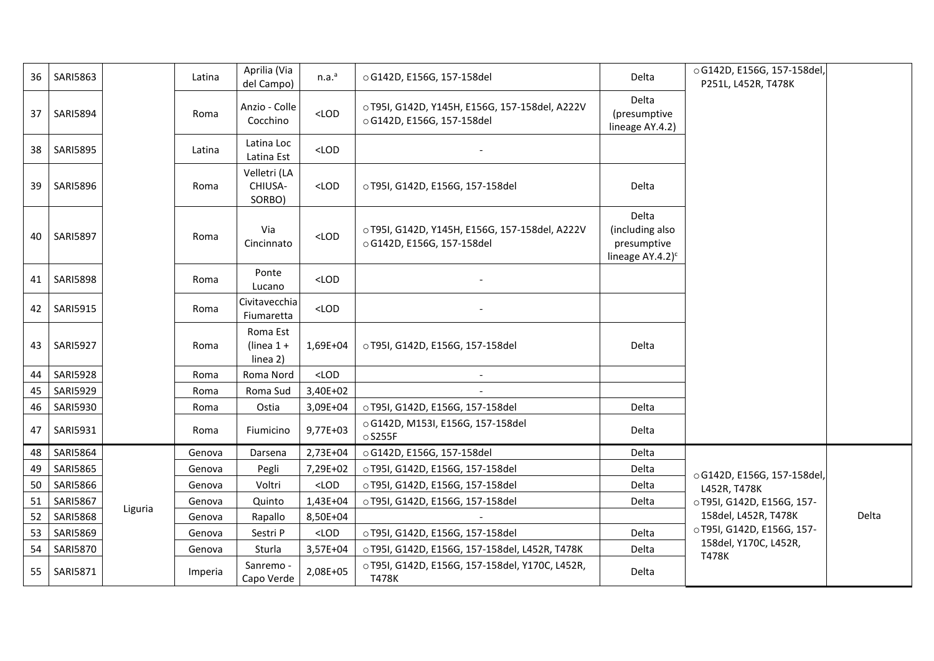| 36 | SARI5863        |         | Latina  | Aprilia (Via<br>del Campo)           | n.a. <sup>a</sup> | ○ G142D, E156G, 157-158del                                                   | Delta                                                                    | ○ G142D, E156G, 157-158del,<br>P251L, L452R, T478K |       |
|----|-----------------|---------|---------|--------------------------------------|-------------------|------------------------------------------------------------------------------|--------------------------------------------------------------------------|----------------------------------------------------|-------|
| 37 | <b>SARI5894</b> |         | Roma    | Anzio - Colle<br>Cocchino            | $<$ LOD           | o T95I, G142D, Y145H, E156G, 157-158del, A222V<br>○ G142D, E156G, 157-158del | Delta<br>(presumptive<br>lineage AY.4.2)                                 |                                                    |       |
| 38 | <b>SARI5895</b> |         | Latina  | Latina Loc<br>Latina Est             | $<$ LOD           |                                                                              |                                                                          |                                                    |       |
| 39 | <b>SARI5896</b> |         | Roma    | Velletri (LA<br>CHIUSA-<br>SORBO)    | $<$ LOD           | ○ T95I, G142D, E156G, 157-158del                                             | Delta                                                                    |                                                    |       |
| 40 | <b>SARI5897</b> |         | Roma    | Via<br>Cincinnato                    | $<$ LOD           | o T95I, G142D, Y145H, E156G, 157-158del, A222V<br>○ G142D, E156G, 157-158del | Delta<br>(including also<br>presumptive<br>lineage $AY.4.2$ <sup>c</sup> |                                                    |       |
|    | 41   SARI5898   |         | Roma    | Ponte<br>Lucano                      | $<$ LOD           |                                                                              |                                                                          |                                                    |       |
| 42 | <b>SARI5915</b> |         | Roma    | Civitavecchia<br>Fiumaretta          | $<$ LOD           |                                                                              |                                                                          |                                                    |       |
| 43 | <b>SARI5927</b> |         | Roma    | Roma Est<br>(linea $1 +$<br>linea 2) | 1,69E+04          | o T95I, G142D, E156G, 157-158del                                             | Delta                                                                    |                                                    |       |
| 44 | <b>SARI5928</b> |         | Roma    | Roma Nord                            | $<$ LOD           |                                                                              |                                                                          |                                                    |       |
| 45 | <b>SARI5929</b> |         | Roma    | Roma Sud                             | 3,40E+02          |                                                                              |                                                                          |                                                    |       |
| 46 | SARI5930        |         | Roma    | Ostia                                | 3,09E+04          | ○ T95I, G142D, E156G, 157-158del                                             | Delta                                                                    |                                                    |       |
| 47 | SARI5931        |         | Roma    | Fiumicino                            | 9,77E+03          | ○ G142D, M153I, E156G, 157-158del<br>$\circ$ S255F                           | Delta                                                                    |                                                    |       |
| 48 | SARI5864        |         | Genova  | Darsena                              | 2,73E+04          | ○ G142D, E156G, 157-158del                                                   | Delta                                                                    |                                                    |       |
| 49 | <b>SARI5865</b> |         | Genova  | Pegli                                | 7,29E+02          | ○ T95I, G142D, E156G, 157-158del                                             | Delta                                                                    | ○ G142D, E156G, 157-158del,                        |       |
| 50 | <b>SARI5866</b> |         | Genova  | Voltri                               | $<$ LOD           | ○ T95I, G142D, E156G, 157-158del                                             | Delta                                                                    | L452R, T478K                                       |       |
| 51 | <b>SARI5867</b> | Liguria | Genova  | Quinto                               | 1,43E+04          | ○ T95I, G142D, E156G, 157-158del                                             | Delta                                                                    | ○T95I, G142D, E156G, 157-                          |       |
| 52 | <b>SARI5868</b> |         | Genova  | Rapallo                              | 8,50E+04          |                                                                              |                                                                          | 158del, L452R, T478K                               | Delta |
| 53 | <b>SARI5869</b> |         | Genova  | Sestri P                             | $<$ LOD           | ○ T95I, G142D, E156G, 157-158del                                             | Delta                                                                    | ○T95I, G142D, E156G, 157-<br>158del, Y170C, L452R, |       |
| 54 | <b>SARI5870</b> |         | Genova  | Sturla                               | 3,57E+04          | o T95I, G142D, E156G, 157-158del, L452R, T478K                               | Delta                                                                    | T478K                                              |       |
| 55 | <b>SARI5871</b> |         | Imperia | Sanremo -<br>Capo Verde              | 2,08E+05          | o T95I, G142D, E156G, 157-158del, Y170C, L452R,<br>T478K                     | Delta                                                                    |                                                    |       |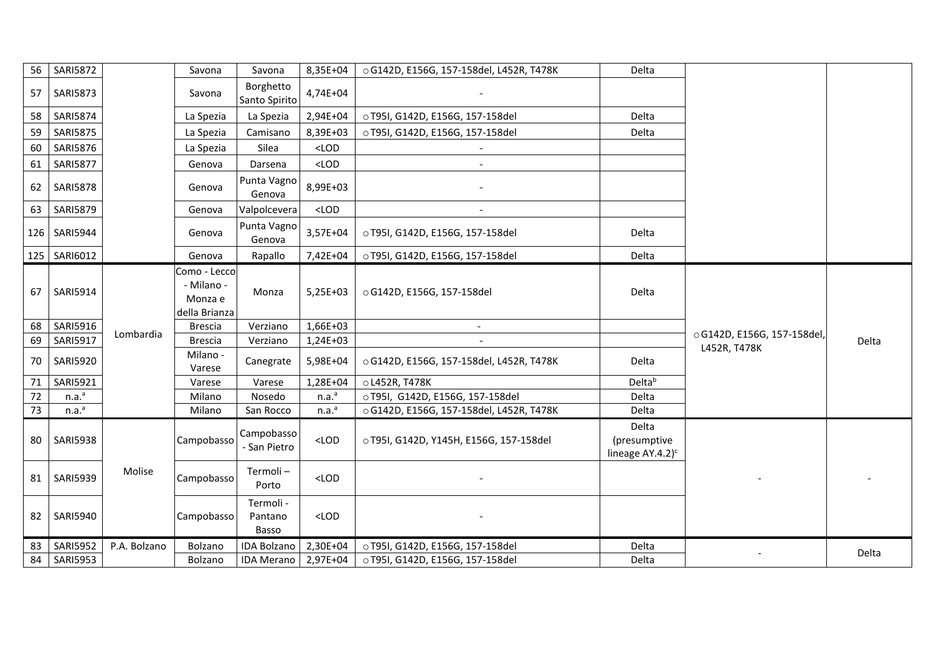| 56 | <b>SARI5872</b>   |              | Savona                                                 | Savona                        | 8,35E+04          | ○ G142D, E156G, 157-158del, L452R, T478K | Delta                                                  |                                             |       |
|----|-------------------|--------------|--------------------------------------------------------|-------------------------------|-------------------|------------------------------------------|--------------------------------------------------------|---------------------------------------------|-------|
| 57 | <b>SARI5873</b>   |              | Savona                                                 | Borghetto<br>Santo Spirito    | 4,74E+04          |                                          |                                                        |                                             |       |
| 58 | <b>SARI5874</b>   |              | La Spezia                                              | La Spezia                     | 2,94E+04          | ○ T95I, G142D, E156G, 157-158del         | Delta                                                  |                                             |       |
| 59 | <b>SARI5875</b>   |              | La Spezia                                              | Camisano                      | 8,39E+03          | ○ T95I, G142D, E156G, 157-158del         | Delta                                                  |                                             |       |
| 60 | <b>SARI5876</b>   |              | La Spezia                                              | Silea                         | $<$ LOD           |                                          |                                                        |                                             |       |
| 61 | <b>SARI5877</b>   |              | Genova                                                 | Darsena                       | $<$ LOD           |                                          |                                                        |                                             |       |
| 62 | <b>SARI5878</b>   |              | Genova                                                 | Punta Vagno<br>Genova         | 8,99E+03          |                                          |                                                        |                                             |       |
| 63 | <b>SARI5879</b>   |              | Genova                                                 | Valpolcevera                  | $<$ LOD           |                                          |                                                        |                                             |       |
|    | 126   SARI5944    |              | Genova                                                 | Punta Vagno<br>Genova         | 3,57E+04          | ○ T95I, G142D, E156G, 157-158del         | Delta                                                  |                                             |       |
|    | 125   SARI6012    |              | Genova                                                 | Rapallo                       | 7,42E+04          | ○ T95I, G142D, E156G, 157-158del         | Delta                                                  |                                             |       |
| 67 | <b>SARI5914</b>   |              | Como - Lecco<br>- Milano -<br>Monza e<br>della Brianza | Monza                         | $5,25E+03$        | ○ G142D, E156G, 157-158del               | Delta                                                  |                                             |       |
| 68 | SARI5916          |              | <b>Brescia</b>                                         | Verziano                      | 1,66E+03          | $\overline{a}$                           |                                                        |                                             |       |
| 69 | SARI5917          | Lombardia    | <b>Brescia</b>                                         | Verziano                      | 1,24E+03          |                                          |                                                        | ○ G142D, E156G, 157-158del,<br>L452R, T478K | Delta |
| 70 | <b>SARI5920</b>   |              | Milano -<br>Varese                                     | Canegrate                     | 5,98E+04          | ○ G142D, E156G, 157-158del, L452R, T478K | Delta                                                  |                                             |       |
| 71 | SARI5921          |              | Varese                                                 | Varese                        | 1,28E+04          | o L452R, T478K                           | Delta <sup>b</sup>                                     |                                             |       |
| 72 | n.a. <sup>a</sup> |              | Milano                                                 | Nosedo                        | n.a. <sup>a</sup> | ○ T95I, G142D, E156G, 157-158del         | Delta                                                  |                                             |       |
| 73 | n.a. <sup>a</sup> |              | Milano                                                 | San Rocco                     | n.a. <sup>a</sup> | ○ G142D, E156G, 157-158del, L452R, T478K | Delta                                                  |                                             |       |
| 80 | <b>SARI5938</b>   |              | Campobasso                                             | Campobasso<br>- San Pietro    | $<$ LOD           | o T95I, G142D, Y145H, E156G, 157-158del  | Delta<br>(presumptive<br>lineage $AY.4.2$ <sup>c</sup> |                                             |       |
| 81 | <b>SARI5939</b>   | Molise       | Campobasso                                             | Termoli-<br>Porto             | $<$ LOD           |                                          |                                                        |                                             |       |
| 82 | <b>SARI5940</b>   |              | Campobasso                                             | Termoli -<br>Pantano<br>Basso | $<$ LOD           |                                          |                                                        |                                             |       |
| 83 | <b>SARI5952</b>   | P.A. Bolzano | Bolzano                                                | <b>IDA Bolzano</b>            | 2,30E+04          | ○ T95I, G142D, E156G, 157-158del         | Delta                                                  |                                             | Delta |
| 84 | <b>SARI5953</b>   |              | Bolzano                                                | <b>IDA Merano</b>             | 2,97E+04          | o T95I, G142D, E156G, 157-158del         | <b>Delta</b>                                           |                                             |       |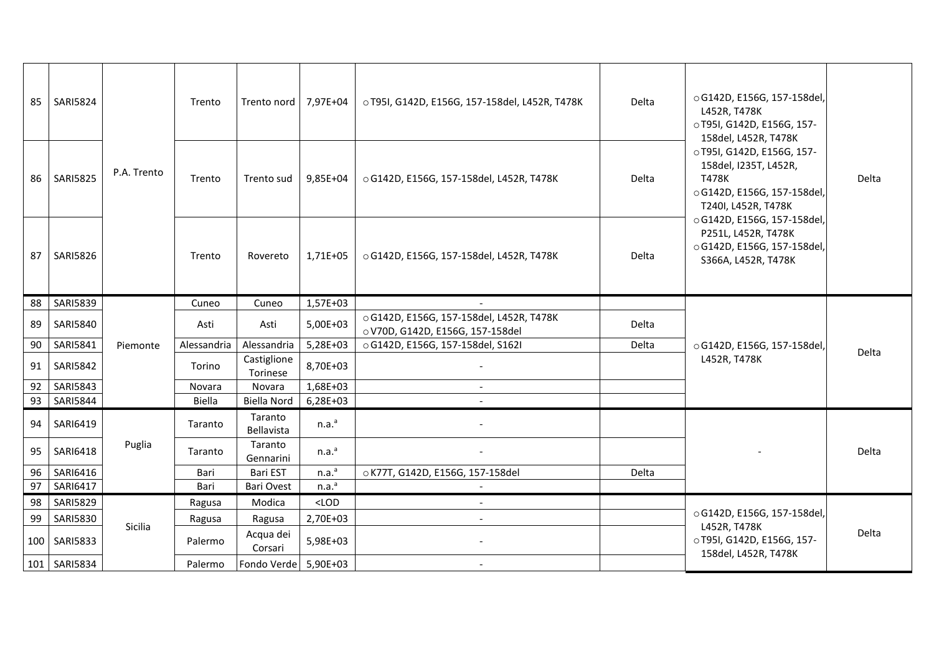| 85  | <b>SARI5824</b> |                                 | Trento      | Trento nord             | 7,97E+04          | o T95I, G142D, E156G, 157-158del, L452R, T478K                               | Delta | o G142D, E156G, 157-158del,<br>L452R, T478K<br>OT951, G142D, E156G, 157-<br>158del, L452R, T478K                  |       |
|-----|-----------------|---------------------------------|-------------|-------------------------|-------------------|------------------------------------------------------------------------------|-------|-------------------------------------------------------------------------------------------------------------------|-------|
| 86  | <b>SARI5825</b> | P.A. Trento<br>Trento<br>Trento |             | Trento sud              | 9,85E+04          | ○ G142D, E156G, 157-158del, L452R, T478K                                     | Delta | ○T95I, G142D, E156G, 157-<br>158del, I235T, L452R,<br>T478K<br>○ G142D, E156G, 157-158del,<br>T240I, L452R, T478K | Delta |
| 87  | <b>SARI5826</b> |                                 |             | Rovereto                | 1,71E+05          | ○ G142D, E156G, 157-158del, L452R, T478K                                     | Delta | ○ G142D, E156G, 157-158del,<br>P251L, L452R, T478K<br>○ G142D, E156G, 157-158del,<br>S366A, L452R, T478K          |       |
| 88  | <b>SARI5839</b> |                                 | Cuneo       | Cuneo                   | 1,57E+03          |                                                                              |       |                                                                                                                   |       |
| 89  | <b>SARI5840</b> |                                 | Asti        | Asti                    | 5,00E+03          | ○ G142D, E156G, 157-158del, L452R, T478K<br>o V70D, G142D, E156G, 157-158del | Delta |                                                                                                                   |       |
| 90  | SARI5841        | Piemonte                        | Alessandria | Alessandria             | 5,28E+03          | ○ G142D, E156G, 157-158del, S162I                                            | Delta | ○ G142D, E156G, 157-158del,                                                                                       |       |
| 91  | <b>SARI5842</b> |                                 | Torino      | Castiglione<br>Torinese | 8,70E+03          |                                                                              |       | L452R, T478K                                                                                                      | Delta |
| 92  | <b>SARI5843</b> |                                 | Novara      | Novara                  | 1,68E+03          | $\overline{a}$                                                               |       |                                                                                                                   |       |
| 93  | <b>SARI5844</b> |                                 | Biella      | <b>Biella Nord</b>      | 6,28E+03          |                                                                              |       |                                                                                                                   |       |
| 94  | SARI6419        |                                 | Taranto     | Taranto<br>Bellavista   | n.a. <sup>a</sup> |                                                                              |       |                                                                                                                   |       |
| 95  | SARI6418        | Puglia                          | Taranto     | Taranto<br>Gennarini    | n.a. <sup>a</sup> |                                                                              |       |                                                                                                                   | Delta |
| 96  | SARI6416        |                                 | Bari        | Bari EST                | n.a. <sup>a</sup> | o K77T, G142D, E156G, 157-158del                                             | Delta |                                                                                                                   |       |
| 97  | SARI6417        |                                 | Bari        | <b>Bari Ovest</b>       | n.a. <sup>a</sup> | $\overline{\phantom{a}}$                                                     |       |                                                                                                                   |       |
| 98  | <b>SARI5829</b> |                                 | Ragusa      | Modica                  | $<$ LOD           |                                                                              |       |                                                                                                                   |       |
| 99  | <b>SARI5830</b> |                                 | Ragusa      | Ragusa                  | 2,70E+03          | $\overline{a}$                                                               |       | ○ G142D, E156G, 157-158del,                                                                                       |       |
| 100 | <b>SARI5833</b> | Sicilia                         | Palermo     | Acqua dei<br>Corsari    | 5,98E+03          |                                                                              |       | L452R, T478K<br>○T95I, G142D, E156G, 157-<br>158del, L452R, T478K                                                 | Delta |
|     | 101 SARI5834    |                                 | Palermo     | Fondo Verde 5,90E+03    |                   | $\blacksquare$                                                               |       |                                                                                                                   |       |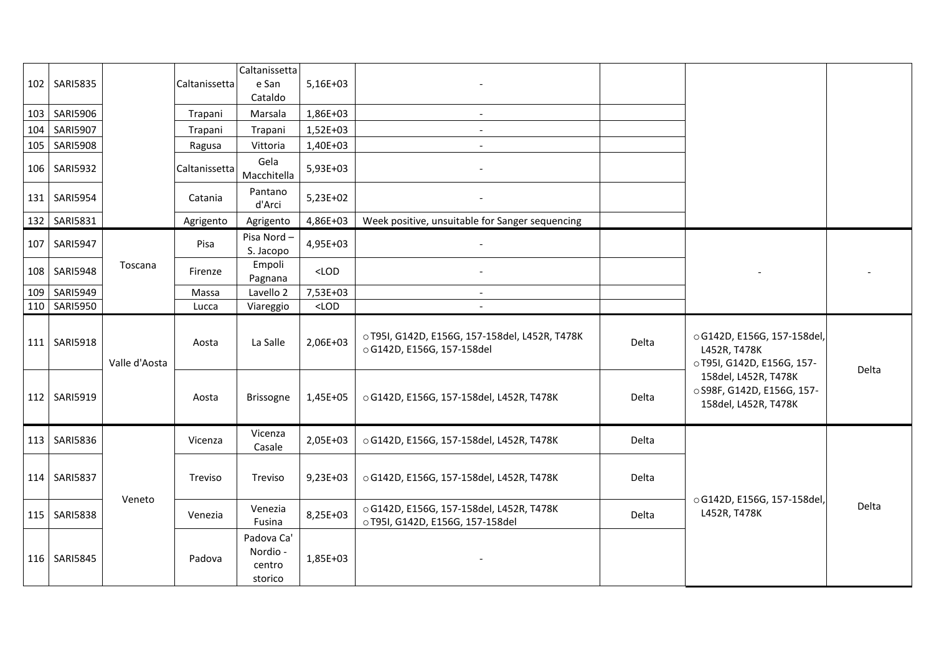|     | 102 SARI5835    |               | Caltanissetta | Caltanissetta<br>e San<br>Cataldo           | 5,16E+03 |                                                                              |       |                                                                            |       |
|-----|-----------------|---------------|---------------|---------------------------------------------|----------|------------------------------------------------------------------------------|-------|----------------------------------------------------------------------------|-------|
|     | 103 SARI5906    |               | Trapani       | Marsala                                     | 1,86E+03 |                                                                              |       |                                                                            |       |
|     | 104   SARI5907  |               | Trapani       | Trapani                                     | 1,52E+03 | $\overline{\phantom{a}}$                                                     |       |                                                                            |       |
| 105 | <b>SARI5908</b> |               | Ragusa        | Vittoria                                    | 1,40E+03 | $\overline{\phantom{a}}$                                                     |       |                                                                            |       |
|     | 106 SARI5932    |               | Caltanissetta | Gela<br>Macchitella                         | 5,93E+03 |                                                                              |       |                                                                            |       |
|     | 131 SARI5954    |               | Catania       | Pantano<br>d'Arci                           | 5,23E+02 |                                                                              |       |                                                                            |       |
|     | 132   SARI5831  |               | Agrigento     | Agrigento                                   | 4,86E+03 | Week positive, unsuitable for Sanger sequencing                              |       |                                                                            |       |
| 107 | <b>SARI5947</b> |               | Pisa          | Pisa Nord-<br>S. Jacopo                     | 4,95E+03 |                                                                              |       |                                                                            |       |
|     | 108 SARI5948    | Toscana       | Firenze       | Empoli<br>Pagnana                           | $<$ LOD  |                                                                              |       |                                                                            |       |
|     | 109 SARI5949    |               | Massa         | Lavello 2                                   | 7,53E+03 |                                                                              |       |                                                                            |       |
|     | 110   SARI5950  |               | Lucca         | Viareggio                                   | $<$ LOD  |                                                                              |       |                                                                            |       |
|     | 111   SARI5918  | Valle d'Aosta | Aosta         | La Salle                                    | 2,06E+03 | o T95I, G142D, E156G, 157-158del, L452R, T478K<br>○ G142D, E156G, 157-158del | Delta | ○ G142D, E156G, 157-158del,<br>L452R, T478K<br>○T95I, G142D, E156G, 157-   | Delta |
|     | 112 SARI5919    |               | Aosta         | <b>Brissogne</b>                            | 1,45E+05 | ○ G142D, E156G, 157-158del, L452R, T478K                                     | Delta | 158del, L452R, T478K<br>○ S98F, G142D, E156G, 157-<br>158del, L452R, T478K |       |
|     | 113   SARI5836  |               | Vicenza       | Vicenza<br>Casale                           | 2,05E+03 | ○ G142D, E156G, 157-158del, L452R, T478K                                     | Delta |                                                                            |       |
|     | 114 SARI5837    |               | Treviso       | Treviso                                     | 9,23E+03 | ○ G142D, E156G, 157-158del, L452R, T478K                                     | Delta |                                                                            |       |
|     | 115   SARI5838  | Veneto        | Venezia       | Venezia<br>Fusina                           | 8,25E+03 | ○ G142D, E156G, 157-158del, L452R, T478K<br>o T95I, G142D, E156G, 157-158del | Delta | ○ G142D, E156G, 157-158del,<br>L452R, T478K                                | Delta |
|     | 116 SARI5845    |               | Padova        | Padova Ca'<br>Nordio -<br>centro<br>storico | 1,85E+03 |                                                                              |       |                                                                            |       |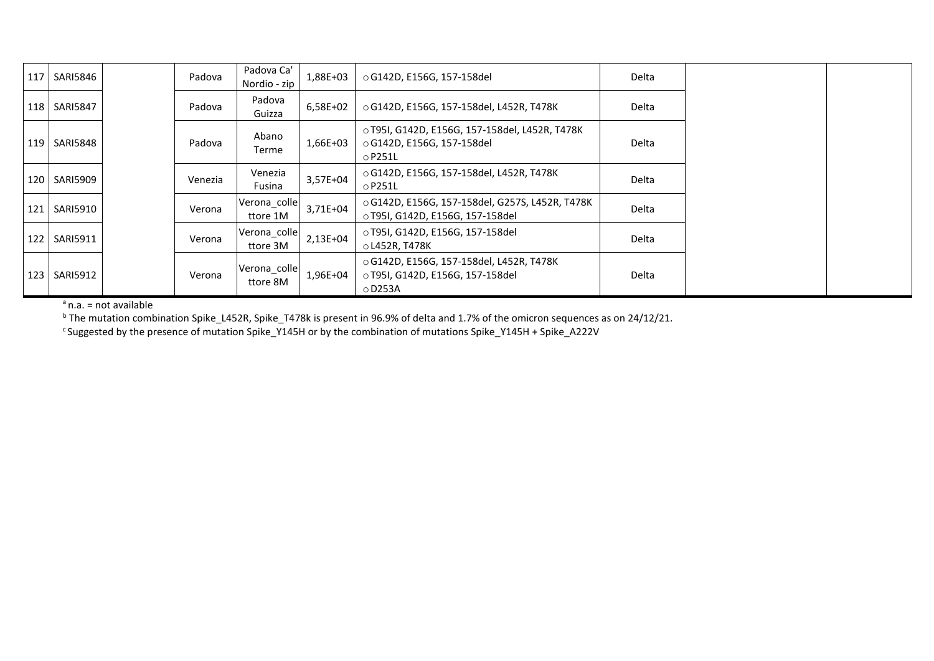| 117 | SARI5846       | Padova  | Padova Ca'<br>Nordio - zip | 1,88E+03 | ○ G142D, E156G, 157-158del                                                                    | Delta |  |
|-----|----------------|---------|----------------------------|----------|-----------------------------------------------------------------------------------------------|-------|--|
|     | 118   SARI5847 | Padova  | Padova<br>Guizza           | 6,58E+02 | ○ G142D, E156G, 157-158del, L452R, T478K                                                      | Delta |  |
|     | 119   SARI5848 | Padova  | Abano<br>Terme             | 1,66E+03 | o T95I, G142D, E156G, 157-158del, L452R, T478K<br>○ G142D, E156G, 157-158del<br>$\circ$ P251L | Delta |  |
|     | 120   SARI5909 | Venezia | Venezia<br>Fusina          | 3,57E+04 | ○ G142D, E156G, 157-158del, L452R, T478K<br>$\circ$ P251L                                     | Delta |  |
|     | 121   SARI5910 | Verona  | Verona_colle<br>ttore 1M   | 3,71E+04 | ○ G142D, E156G, 157-158del, G257S, L452R, T478K<br>o T95I, G142D, E156G, 157-158del           | Delta |  |
|     | 122   SARI5911 | Verona  | Verona_colle<br>ttore 3M   | 2,13E+04 | o T95I, G142D, E156G, 157-158del<br>o L452R, T478K                                            | Delta |  |
|     | 123   SARI5912 | Verona  | Verona_colle<br>ttore 8M   | 1,96E+04 | ○ G142D, E156G, 157-158del, L452R, T478K<br>o T95I, G142D, E156G, 157-158del<br>$\circ$ D253A | Delta |  |

 $a$ n.a. = not available

<sup>b</sup> The mutation combination Spike\_L452R, Spike\_T478k is present in 96.9% of delta and 1.7% of the omicron sequences as on 24/12/21.

<sup>c</sup>Suggested by the presence of mutation Spike\_Y145H or by the combination of mutations Spike\_Y145H + Spike\_A222V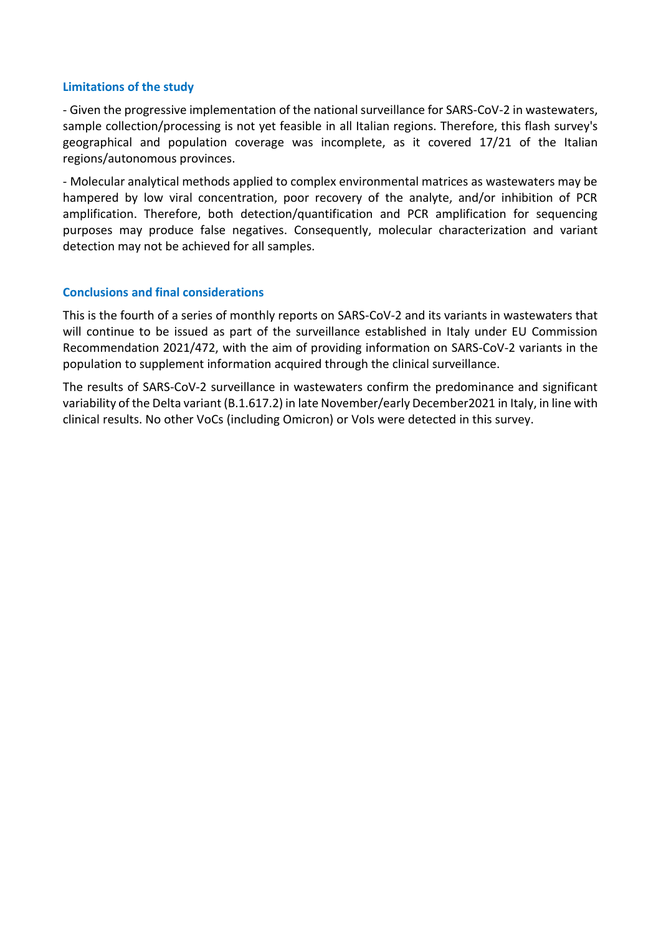## **Limitations of the study**

- Given the progressive implementation of the national surveillance for SARS-CoV-2 in wastewaters, sample collection/processing is not yet feasible in all Italian regions. Therefore, this flash survey's geographical and population coverage was incomplete, as it covered 17/21 of the Italian regions/autonomous provinces.

- Molecular analytical methods applied to complex environmental matrices as wastewaters may be hampered by low viral concentration, poor recovery of the analyte, and/or inhibition of PCR amplification. Therefore, both detection/quantification and PCR amplification for sequencing purposes may produce false negatives. Consequently, molecular characterization and variant detection may not be achieved for all samples.

## **Conclusions and final considerations**

This is the fourth of a series of monthly reports on SARS-CoV-2 and its variants in wastewaters that will continue to be issued as part of the surveillance established in Italy under EU Commission Recommendation 2021/472, with the aim of providing information on SARS-CoV-2 variants in the population to supplement information acquired through the clinical surveillance.

The results of SARS-CoV-2 surveillance in wastewaters confirm the predominance and significant variability of the Delta variant (B.1.617.2) in late November/early December2021 in Italy, in line with clinical results. No other VoCs (including Omicron) or VoIs were detected in this survey.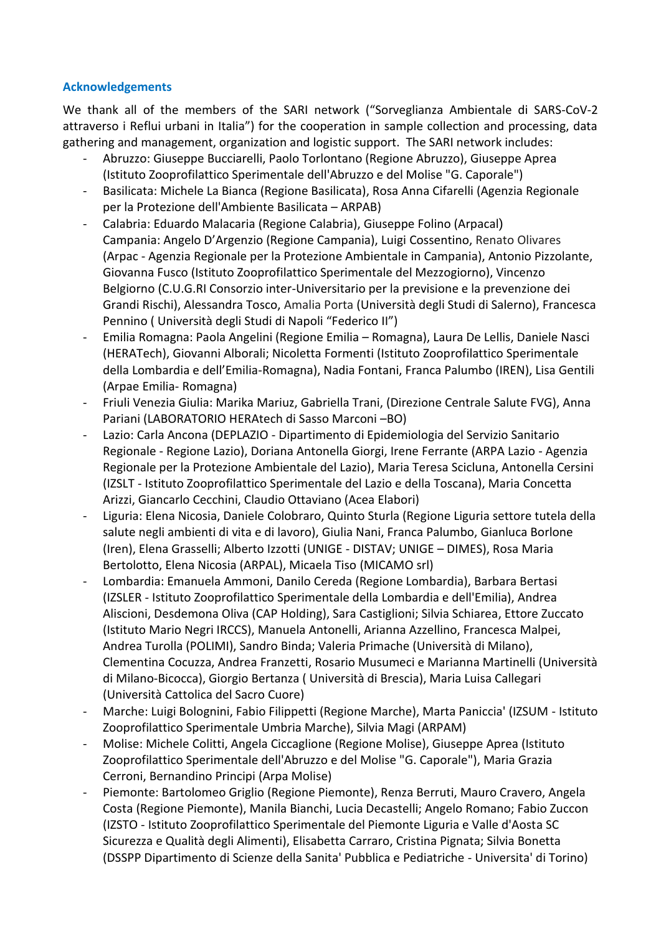# **Acknowledgements**

We thank all of the members of the SARI network ("Sorveglianza Ambientale di SARS-CoV-2 attraverso i Reflui urbani in Italia") for the cooperation in sample collection and processing, data gathering and management, organization and logistic support. The SARI network includes:

- Abruzzo: Giuseppe Bucciarelli, Paolo Torlontano (Regione Abruzzo), Giuseppe Aprea (Istituto Zooprofilattico Sperimentale dell'Abruzzo e del Molise "G. Caporale")
- Basilicata: Michele La Bianca (Regione Basilicata), Rosa Anna Cifarelli (Agenzia Regionale per la Protezione dell'Ambiente Basilicata – ARPAB)
- Calabria: Eduardo Malacaria (Regione Calabria), Giuseppe Folino (Arpacal) Campania: Angelo D'Argenzio (Regione Campania), Luigi Cossentino, Renato Olivares (Arpac - Agenzia Regionale per la Protezione Ambientale in Campania), Antonio Pizzolante, Giovanna Fusco (Istituto Zooprofilattico Sperimentale del Mezzogiorno), Vincenzo Belgiorno (C.U.G.RI Consorzio inter-Universitario per la previsione e la prevenzione dei Grandi Rischi), Alessandra Tosco, Amalia Porta (Università degli Studi di Salerno), Francesca Pennino ( Università degli Studi di Napoli "Federico II")
- Emilia Romagna: Paola Angelini (Regione Emilia Romagna), Laura De Lellis, Daniele Nasci (HERATech), Giovanni Alborali; Nicoletta Formenti (Istituto Zooprofilattico Sperimentale della Lombardia e dell'Emilia-Romagna), Nadia Fontani, Franca Palumbo (IREN), Lisa Gentili (Arpae Emilia- Romagna)
- Friuli Venezia Giulia: Marika Mariuz, Gabriella Trani, (Direzione Centrale Salute FVG), Anna Pariani (LABORATORIO HERAtech di Sasso Marconi –BO)
- Lazio: Carla Ancona (DEPLAZIO Dipartimento di Epidemiologia del Servizio Sanitario Regionale - Regione Lazio), Doriana Antonella Giorgi, Irene Ferrante (ARPA Lazio - Agenzia Regionale per la Protezione Ambientale del Lazio), Maria Teresa Scicluna, Antonella Cersini (IZSLT - Istituto Zooprofilattico Sperimentale del Lazio e della Toscana), Maria Concetta Arizzi, Giancarlo Cecchini, Claudio Ottaviano (Acea Elabori)
- Liguria: Elena Nicosia, Daniele Colobraro, Quinto Sturla (Regione Liguria settore tutela della salute negli ambienti di vita e di lavoro), Giulia Nani, Franca Palumbo, Gianluca Borlone (Iren), Elena Grasselli; Alberto Izzotti (UNIGE - DISTAV; UNIGE – DIMES), Rosa Maria Bertolotto, Elena Nicosia (ARPAL), Micaela Tiso (MICAMO srl)
- Lombardia: Emanuela Ammoni, Danilo Cereda (Regione Lombardia), Barbara Bertasi (IZSLER - Istituto Zooprofilattico Sperimentale della Lombardia e dell'Emilia), Andrea Aliscioni, Desdemona Oliva (CAP Holding), Sara Castiglioni; Silvia Schiarea, Ettore Zuccato (Istituto Mario Negri IRCCS), Manuela Antonelli, Arianna Azzellino, Francesca Malpei, Andrea Turolla (POLIMI), Sandro Binda; Valeria Primache (Università di Milano), Clementina Cocuzza, Andrea Franzetti, Rosario Musumeci e Marianna Martinelli (Università di Milano-Bicocca), Giorgio Bertanza ( Università di Brescia), Maria Luisa Callegari (Università Cattolica del Sacro Cuore)
- Marche: Luigi Bolognini, Fabio Filippetti (Regione Marche), Marta Paniccia' (IZSUM Istituto Zooprofilattico Sperimentale Umbria Marche), Silvia Magi (ARPAM)
- Molise: Michele Colitti, Angela Ciccaglione (Regione Molise), Giuseppe Aprea (Istituto Zooprofilattico Sperimentale dell'Abruzzo e del Molise "G. Caporale"), Maria Grazia Cerroni, Bernandino Principi (Arpa Molise)
- Piemonte: Bartolomeo Griglio (Regione Piemonte), Renza Berruti, Mauro Cravero, Angela Costa (Regione Piemonte), Manila Bianchi, Lucia Decastelli; Angelo Romano; Fabio Zuccon (IZSTO - Istituto Zooprofilattico Sperimentale del Piemonte Liguria e Valle d'Aosta SC Sicurezza e Qualità degli Alimenti), Elisabetta Carraro, Cristina Pignata; Silvia Bonetta (DSSPP Dipartimento di Scienze della Sanita' Pubblica e Pediatriche - Universita' di Torino)